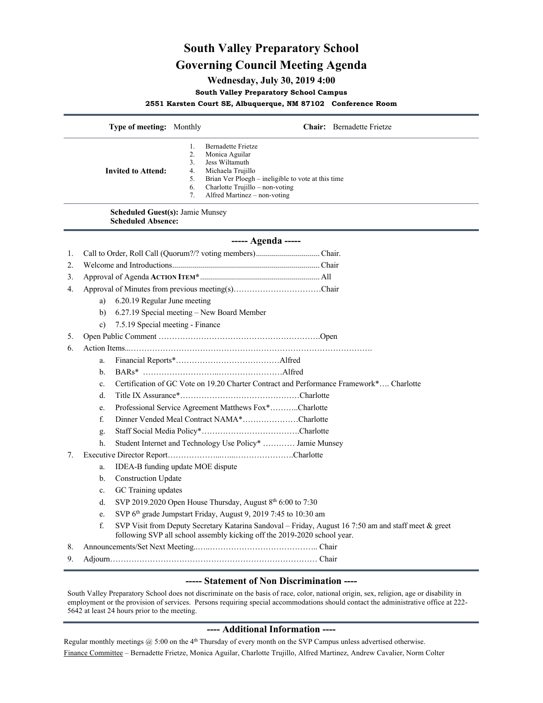## **South Valley Preparatory School Governing Council Meeting Agenda**

## **Wednesday, July 30, 2019 4:00**

**South Valley Preparatory School Campus**

**2551 Karsten Court SE, Albuquerque, NM 87102 Conference Room**

|                                                                      | Type of meeting: Monthly                                                                                                                                                         |                                                                                                                              |                                                                                                                       | <b>Chair:</b> Bernadette Frietze |  |
|----------------------------------------------------------------------|----------------------------------------------------------------------------------------------------------------------------------------------------------------------------------|------------------------------------------------------------------------------------------------------------------------------|-----------------------------------------------------------------------------------------------------------------------|----------------------------------|--|
|                                                                      | <b>Invited to Attend:</b>                                                                                                                                                        | 1.<br><b>Bernadette Frietze</b><br>2.<br>Monica Aguilar<br>3.<br>Jess Wiltamuth<br>4.<br>Michaela Trujillo<br>5.<br>6.<br>7. | Brian Ver Ploegh – ineligible to vote at this time<br>Charlotte Trujillo - non-voting<br>Alfred Martinez – non-voting |                                  |  |
| <b>Scheduled Guest(s): Jamie Munsey</b><br><b>Scheduled Absence:</b> |                                                                                                                                                                                  |                                                                                                                              |                                                                                                                       |                                  |  |
| ----- Agenda -----                                                   |                                                                                                                                                                                  |                                                                                                                              |                                                                                                                       |                                  |  |
| 1.                                                                   |                                                                                                                                                                                  |                                                                                                                              |                                                                                                                       |                                  |  |
| 2.                                                                   |                                                                                                                                                                                  |                                                                                                                              |                                                                                                                       |                                  |  |
| 3.                                                                   |                                                                                                                                                                                  |                                                                                                                              |                                                                                                                       |                                  |  |
| 4.                                                                   |                                                                                                                                                                                  |                                                                                                                              |                                                                                                                       |                                  |  |
|                                                                      | 6.20.19 Regular June meeting<br>a)                                                                                                                                               |                                                                                                                              |                                                                                                                       |                                  |  |
|                                                                      | b)                                                                                                                                                                               | 6.27.19 Special meeting - New Board Member                                                                                   |                                                                                                                       |                                  |  |
|                                                                      | 7.5.19 Special meeting - Finance<br>$\mathbf{c}$ )                                                                                                                               |                                                                                                                              |                                                                                                                       |                                  |  |
| 5.                                                                   |                                                                                                                                                                                  |                                                                                                                              |                                                                                                                       |                                  |  |
| 6.                                                                   |                                                                                                                                                                                  |                                                                                                                              |                                                                                                                       |                                  |  |
|                                                                      | a.                                                                                                                                                                               |                                                                                                                              |                                                                                                                       |                                  |  |
|                                                                      | h.                                                                                                                                                                               |                                                                                                                              |                                                                                                                       |                                  |  |
|                                                                      | c.                                                                                                                                                                               | Certification of GC Vote on 19.20 Charter Contract and Performance Framework* Charlotte                                      |                                                                                                                       |                                  |  |
|                                                                      | d.                                                                                                                                                                               |                                                                                                                              |                                                                                                                       |                                  |  |
|                                                                      | e.                                                                                                                                                                               | Professional Service Agreement Matthews Fox*Charlotte                                                                        |                                                                                                                       |                                  |  |
|                                                                      | f.                                                                                                                                                                               | Dinner Vended Meal Contract NAMA*Charlotte                                                                                   |                                                                                                                       |                                  |  |
|                                                                      | g.                                                                                                                                                                               |                                                                                                                              |                                                                                                                       |                                  |  |
|                                                                      | h.                                                                                                                                                                               | Student Internet and Technology Use Policy*  Jamie Munsey                                                                    |                                                                                                                       |                                  |  |
| 7.                                                                   |                                                                                                                                                                                  |                                                                                                                              |                                                                                                                       |                                  |  |
|                                                                      | a.                                                                                                                                                                               | IDEA-B funding update MOE dispute                                                                                            |                                                                                                                       |                                  |  |
|                                                                      | <b>Construction Update</b><br>b.                                                                                                                                                 |                                                                                                                              |                                                                                                                       |                                  |  |
|                                                                      | GC Training updates<br>c.                                                                                                                                                        |                                                                                                                              |                                                                                                                       |                                  |  |
|                                                                      | d.                                                                                                                                                                               | SVP 2019.2020 Open House Thursday, August 8th 6:00 to 7:30                                                                   |                                                                                                                       |                                  |  |
|                                                                      | e.<br>f.                                                                                                                                                                         | SVP 6 <sup>th</sup> grade Jumpstart Friday, August 9, 2019 7:45 to 10:30 am                                                  |                                                                                                                       |                                  |  |
|                                                                      | SVP Visit from Deputy Secretary Katarina Sandoval – Friday, August 16 7:50 am and staff meet & greet<br>following SVP all school assembly kicking off the 2019-2020 school year. |                                                                                                                              |                                                                                                                       |                                  |  |
| 8.                                                                   |                                                                                                                                                                                  |                                                                                                                              |                                                                                                                       |                                  |  |
| 9.                                                                   |                                                                                                                                                                                  |                                                                                                                              |                                                                                                                       |                                  |  |
|                                                                      | $\mathbf{r}$ and $\mathbf{r}$<br>$\sim$ $\sim$                                                                                                                                   |                                                                                                                              |                                                                                                                       |                                  |  |

## **----- Statement of Non Discrimination ----**

South Valley Preparatory School does not discriminate on the basis of race, color, national origin, sex, religion, age or disability in employment or the provision of services. Persons requiring special accommodations should contact the administrative office at 222- 5642 at least 24 hours prior to the meeting.

## **---- Additional Information ----**

Regular monthly meetings  $@$  5:00 on the 4<sup>th</sup> Thursday of every month on the SVP Campus unless advertised otherwise. Finance Committee – Bernadette Frietze, Monica Aguilar, Charlotte Trujillo, Alfred Martinez, Andrew Cavalier, Norm Colter